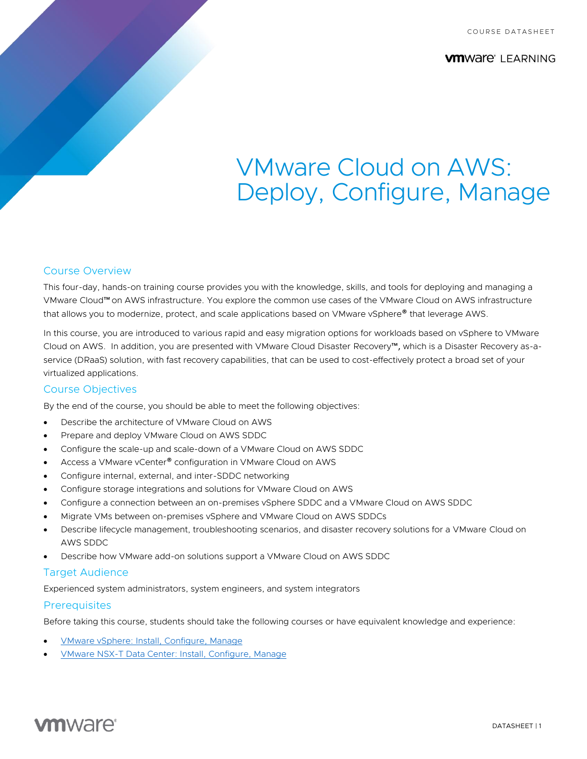COURSE DATASHEET

**VM**Ware<sup>®</sup> LEARNING

# VMware Cloud on AWS: Deploy, Configure, Manage

## Course Overview

This four-day, hands-on training course provides you with the knowledge, skills, and tools for deploying and managing a VMware Cloud™ on AWS infrastructure. You explore the common use cases of the VMware Cloud on AWS infrastructure that allows you to modernize, protect, and scale applications based on VMware vSphere® that leverage AWS.

In this course, you are introduced to various rapid and easy migration options for workloads based on vSphere to VMware Cloud on AWS. In addition, you are presented with VMware Cloud Disaster Recovery™, which is a Disaster Recovery as-aservice (DRaaS) solution, with fast recovery capabilities, that can be used to cost-effectively protect a broad set of your virtualized applications.

## Course Objectives

By the end of the course, you should be able to meet the following objectives:

- Describe the architecture of VMware Cloud on AWS
- Prepare and deploy VMware Cloud on AWS SDDC
- Configure the scale-up and scale-down of a VMware Cloud on AWS SDDC
- Access a VMware vCenter<sup>®</sup> configuration in VMware Cloud on AWS
- Configure internal, external, and inter-SDDC networking
- Configure storage integrations and solutions for VMware Cloud on AWS
- Configure a connection between an on-premises vSphere SDDC and a VMware Cloud on AWS SDDC
- Migrate VMs between on-premises vSphere and VMware Cloud on AWS SDDCs
- Describe lifecycle management, troubleshooting scenarios, and disaster recovery solutions for a VMware Cloud on AWS SDDC
- Describe how VMware add-on solutions support a VMware Cloud on AWS SDDC

#### Target Audience

Experienced system administrators, system engineers, and system integrators

#### **Prerequisites**

Before taking this course, students should take the following courses or have equivalent knowledge and experience:

- [VMware vSphere: Install, Configure, Manage](https://mylearn.vmware.com/mgrReg/courses.cfm?ui=www_edu&a=one&id_subject=93058)
- [VMware NSX-T Data Center: Install, Configure, Manage](https://mylearn.vmware.com/mgrReg/courses.cfm?ui=www_edu&a=one&id_subject=92720)

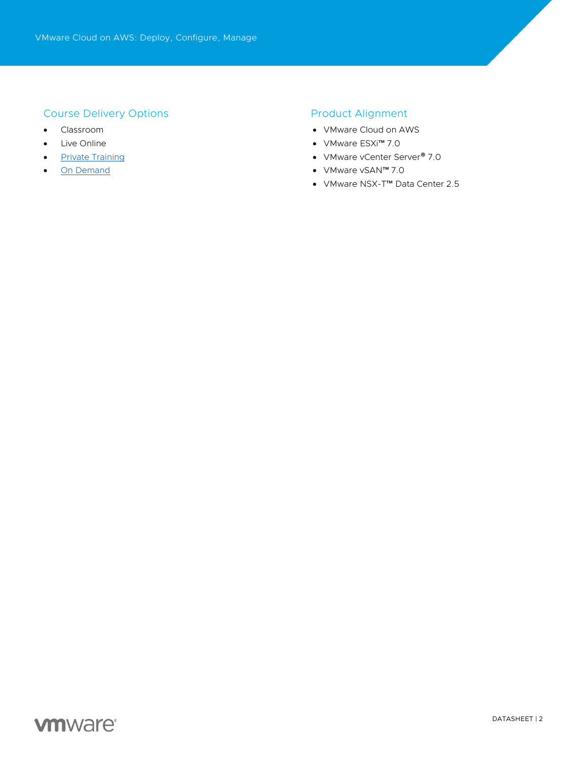## Course Delivery Options

- Classroom
- Live Online
- [Private Training](https://mylearn.vmware.com/mgrReg/plan.cfm?plan=38045&ui=www_edu)
- [On Demand](https://mylearn.vmware.com/mgrReg/plan.cfm?plan=39210&ui=www_edu)

## Product Alignment

- VMware Cloud on AWS
- VMware ESXi™ 7.0
- VMware vCenter Server<sup>®</sup> 7.0
- VMware vSAN™ 7.0
- VMware NSX-T™ Data Center 2.5